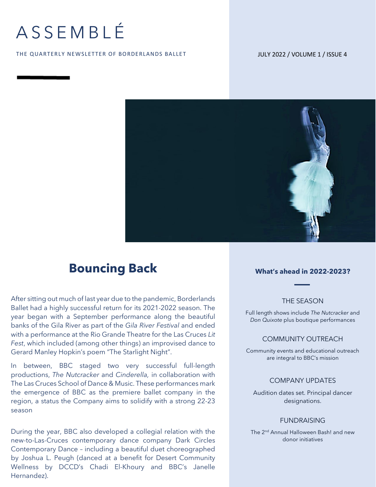# ASSEMBLÉ

#### THE QUARTERLY NEWSLETTER OF BORDERLANDS BALLET

#### JULY 2022 / VOLUME 1 / ISSUE 4



### **Bouncing Back What's ahead in 2022-2023?**

After sitting out much of last year due to the pandemic, Borderlands Ballet had a highly successful return for its 2021-2022 season. The year began with a September performance along the beautiful banks of the Gila River as part of the *Gila River Festival* and ended with a performance at the Rio Grande Theatre for the Las Cruces *Lit Fest*, which included (among other things) an improvised dance to Gerard Manley Hopkin's poem "The Starlight Night".

In between, BBC staged two very successful full-length productions, *The Nutcracker* and *Cinderella,* in collaboration with The Las Cruces School of Dance & Music. These performances mark the emergence of BBC as the premiere ballet company in the region, a status the Company aims to solidify with a strong 22-23 season

During the year, BBC also developed a collegial relation with the new-to-Las-Cruces contemporary dance company Dark Circles Contemporary Dance – including a beautiful duet choreographed by Joshua L. Peugh (danced at a benefit for Desert Community Wellness by DCCD's Chadi El-Khoury and BBC's Janelle Hernandez).

#### THE SEASON

Full length shows include *The Nutcracker* and *Don Quixote* plus boutique performances

#### COMMUNITY OUTREACH

Community events and educational outreach are integral to BBC's mission

#### COMPANY UPDATES

Audition dates set. Principal dancer designations.

#### FUNDRAISING

The 2nd Annual Halloween Bash! and new donor initiatives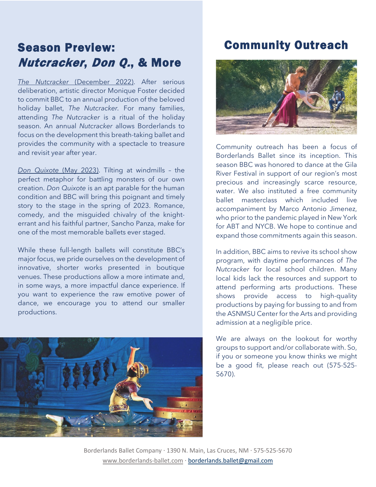## Season Preview: Nutcracker, Don Q., & More

*The Nutcracker* (December 2022). After serious deliberation, artistic director Monique Foster decided to commit BBC to an annual production of the beloved holiday ballet, *The Nutcracker.* For many families, attending *The Nutcracker* is a ritual of the holiday season. An annual *Nutcracker* allows Borderlands to focus on the development this breath-taking ballet and provides the community with a spectacle to treasure and revisit year after year.

*Don Quixote* (May 2023). Tilting at windmills – the perfect metaphor for battling monsters of our own creation. *Don Quixote* is an apt parable for the human condition and BBC will bring this poignant and timely story to the stage in the spring of 2023. Romance, comedy, and the misguided chivalry of the knighterrant and his faithful partner, Sancho Panza, make for one of the most memorable ballets ever staged.

While these full-length ballets will constitute BBC's major focus, we pride ourselves on the development of innovative, shorter works presented in boutique venues. These productions allow a more intimate and, in some ways, a more impactful dance experience. If you want to experience the raw emotive power of dance, we encourage you to attend our smaller productions.



## Community Outreach



Community outreach has been a focus of Borderlands Ballet since its inception. This season BBC was honored to dance at the Gila River Festival in support of our region's most precious and increasingly scarce resource, water. We also instituted a free community ballet masterclass which included live accompaniment by Marco Antonio Jimenez, who prior to the pandemic played in New York for ABT and NYCB. We hope to continue and expand those commitments again this season.

In addition, BBC aims to revive its school show program, with daytime performances of *The Nutcracker* for local school children. Many local kids lack the resources and support to attend performing arts productions. These shows provide access to high-quality productions by paying for bussing to and from the ASNMSU Center for the Arts and providing admission at a negligible price.

We are always on the lookout for worthy groups to support and/or collaborate with. So, if you or someone you know thinks we might be a good fit, please reach out (575-525- 5670).

Borderlands Ballet Company · 1390 N. Main, Las Cruces, NM · 575-525-5670 [www.borderlands-ballet.com](http://www.borderlands-ballet.com/) · [borderlands.ballet@gmail.com](mailto:borderlands.ballet@gmail.com)